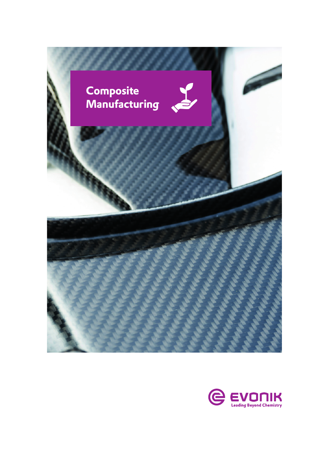

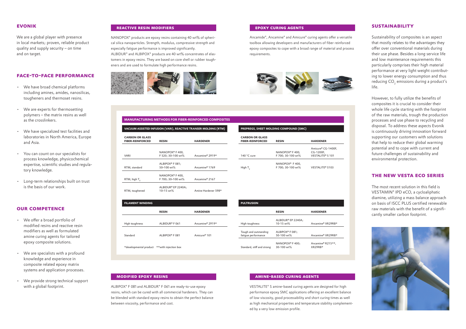# **evonik**

We are a global player with presence in local markets; proven, reliable product quality and supply security – on time and on target.

### **face-to-face performance**

- We have broad chemical platforms including amines, amides, nanosilicas, tougheners and thermoset resins.
- We are experts for thermosetting polymers – the matrix resins as well as the crosslinkers.
- We have specialized test facilities and laboratories in North America, Europe and Asia.
- You can count on our specialists for process knowledge, physicochemical expertise, scientific studies and regulatory knowledge.
- Long-term relationships built on trust is the basis of our work.

# **our competence**

- We offer a broad portfolio of modified resins and reactive resin modifiers as well as formulated amine curing agents for tailored epoxy composite solutions.
- We are specialists with a profound knowledge and experience in composite related epoxy matrix systems and application processes.
- We provide strong technical support with a global footprint.

# **sustainability**

Sustainability of composites is an aspect that mostly relates to the advantages they offer over conventional materials during their use phase. Besides a long service life and low maintenance requirements this particularly comprises their high material performance at very light weight contributing to lower energy consumption and thus reducing  $CO<sub>2</sub>$  emissions during a product's life.

However, to fully utilize the benefits of composites it is crucial to consider their whole life cycle starting with the footprint of the raw materials, trough the production processes and use phase to recycling and disposal. To address these aspects Evonik is continuously driving innovation forward supporting our customers with solutions that help to reduce their global warming potential and to cope with current and future challenges of sustainability and environmental protection.

# **the new vesta eco series**

The most recent solution in this field is VESTAMIN® IPD eCO, a cycloaliphatic diamine, utilizing a mass balance approach on basis of ISCC PLUS certified renewable raw materials with the benefit of a significantly smaller carbon footprint.



### **reactive resin modifiers**

Ancamide®, Ancamine® and Amicure® curing agents offer a versatile toolbox allowing developers and manufacturers of fiber reinforced epoxy composites to cope with a broad range of material and process requirements.



VESTALITE® S amine-based curing agents are designed for high performance epoxy SMC applications offering an excellent balance of low viscosity, good processability and short curing times as well as high mechanical properties and temperature stability complemented by a very low emission profile.

NANOPOX® products are epoxy resins containing 40 wt% of spherical silica nanoparticles. Strength, modulus, compressive strength and especially fatigue performance is improved significantly. ALBIDUR® and ALBIPOX® products are 40 wt% concentrates of elastomers in epoxy resins. They are based on core shell or rubber tougheners and are used to formulate high performance resins.



ALBIPOX® F 081 and ALBIDUR® F 061 are ready-to-use epoxy resins, which can be cured with all commercial hardeners. They can be blended with standard epoxy resins to obtain the perfect balance between viscosity, performance and cost.

### **MODIFIED EPOXY RESINS and a minimized curing a minimized curing agents**

### **MANUFACTURING METHODS FOR FIBER-REINFORCED COMPOSITES**

| <b>CARBON OR GLASS</b><br><b>FIBER-REINFORCED</b> | <b>RESIN</b>                                    | <b>HARDENER</b>                                                 |
|---------------------------------------------------|-------------------------------------------------|-----------------------------------------------------------------|
| 140 °C cure                                       | NANOPOX® F 400,<br>F 700: 30-100 wt%            | Amicure® CG-1400F,<br>CG-1200F,<br>VESTALITE <sup>®</sup> S 101 |
| High T <sub>,</sub>                               | NANOPOX <sup>®</sup> F400,<br>F 700: 30-100 wt% | <b>VESTALITE® S103</b>                                          |

**PREPREGS, SHEET MOLDING COMPOUND (SMC)** 

| <b>CARBON OR GLASS</b><br><b>FIBER-REINFORCED</b> | <b>RESIN</b>                | <b>HARDENER</b>             | <b>CARBON O</b><br><b>FIBER-REIN</b> |
|---------------------------------------------------|-----------------------------|-----------------------------|--------------------------------------|
|                                                   | NANOPOX <sup>®</sup> F 400, |                             |                                      |
| <b>VARI</b>                                       | F 520; 30-100 wt%           | Ancamine <sup>®</sup> 2919* | 140 °C cure                          |
|                                                   | ALBIPOX <sup>®</sup> F 081; |                             |                                      |
| RTM, standard                                     | 50-100 wt%                  | Ancamine <sup>®</sup> 1769  | High $T_q$                           |
|                                                   | NANOPOX <sup>®</sup> F 400, |                             |                                      |
| RTM, high $T_a$                                   | F 700: 30-100 wt%           | Ancamine <sup>®</sup> 2167  |                                      |
|                                                   | ALBIDUR® EP 2240A:          |                             |                                      |
| RTM, toughened                                    | 10-15 wt%                   | Amine Hardener 598*         |                                      |

| <b>FILAMENT WINDING</b> |                            |                             | <b>PULTRUSION</b>                            |
|-------------------------|----------------------------|-----------------------------|----------------------------------------------|
|                         | <b>RESIN</b>               | <b>HARDENER</b>             |                                              |
| High toughness          | ALBIDUR <sup>®</sup> F 061 | Ancamine <sup>®</sup> 2919* | High toughness                               |
| Standard                | ALBIPOX <sup>®</sup> F 081 | Amicure <sup>®</sup> 101    | Tough and outstanding<br>fatique performance |
| *developmental product  | **with injection box       |                             | Standard, stiff and strong                   |

|                    |                             | <b>PULTRUSION</b>                            |                                           |                               |
|--------------------|-----------------------------|----------------------------------------------|-------------------------------------------|-------------------------------|
| <b>RESIN</b>       | <b>HARDENER</b>             |                                              | <b>RESIN</b>                              | <b>HARDENER</b>               |
| ALBIDUR® F 061     | Ancamine <sup>®</sup> 2919* | High toughness                               | ALBIDUR® EP 2240A;<br>10-15 wt%           | Ancamine <sup>®</sup> XR29RB* |
| ALBIPOX® F 081     | Amicure <sup>®</sup> 101    | Tough and outstanding<br>fatique performance | ALBIPOX <sup>®</sup> F 081;<br>50-100 wt% | Ancamine <sup>®</sup> XR29RB* |
| with injection box |                             | Standard, stiff and strong                   | NANOPOX <sup>®</sup> F 400;<br>30-100 wt% | Ancamine® R215**,<br>XR29RB*  |

# **epoxy curing agents**